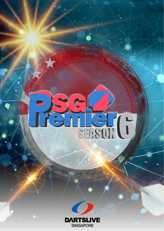# Received.

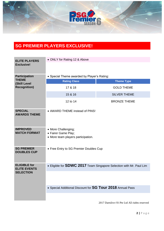

# **SG PREMIER PLAYERS EXCLUSIVE!**

| <b>ELITE PLAYERS</b>                                                        | • ONLY for Rating 12 & Above                                                     |                     |  |
|-----------------------------------------------------------------------------|----------------------------------------------------------------------------------|---------------------|--|
| <b>Exclusive!</b>                                                           |                                                                                  |                     |  |
|                                                                             |                                                                                  |                     |  |
| <b>Participation</b><br><b>THEME</b><br>(Skill Level<br><b>Recognition)</b> | • Special Theme awarded by Player's Rating:                                      |                     |  |
|                                                                             | <b>Rating Class</b>                                                              | <b>Theme Type</b>   |  |
|                                                                             | 17 & 18                                                                          | <b>GOLD THEME</b>   |  |
|                                                                             | 15 & 16                                                                          | <b>SILVER THEME</b> |  |
|                                                                             | 12 to 14                                                                         | <b>BRONZE THEME</b> |  |
| <b>SPECIAL</b><br><b>AWARDS THEME</b>                                       | • AWARD THEME instead of PINS!                                                   |                     |  |
| <b>IMPROVED</b><br><b>MATCH FORMAT</b>                                      | • More Challenging;<br>• Fairer Game Play;<br>• More team players participation. |                     |  |
| <b>SG PREMIER</b><br><b>DOUBLES CUP</b>                                     | • Free Entry to SG Premier Doubles Cup                                           |                     |  |
| <b>ELIGIBLE for</b><br><b>ELITE EVENTS</b><br><b>SELECTION</b>              | • Eligible for <b>SDWC 2017</b> Team Singapore Selection with Mr. Paul Lim       |                     |  |
|                                                                             |                                                                                  |                     |  |
|                                                                             | • Special Additional Discount for SG Tour 2018 Annual Pass                       |                     |  |
|                                                                             |                                                                                  |                     |  |

2017 Dartslive (S) Pte Ltd All rights reserved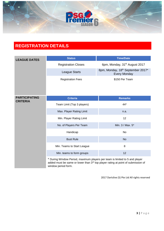

### **REGISTRATION DETAILS**

| <b>LEAGUE DATES</b>                     | <b>Status</b>                                                                                                                                                                          | <b>Time/Date</b>                                         |  |
|-----------------------------------------|----------------------------------------------------------------------------------------------------------------------------------------------------------------------------------------|----------------------------------------------------------|--|
|                                         | <b>Registration Closes</b>                                                                                                                                                             | 6pm, Monday, 31 <sup>th</sup> August 2017                |  |
|                                         | <b>League Starts</b>                                                                                                                                                                   | 8pm, Monday, 18th September 2017*<br><b>Every Monday</b> |  |
|                                         | <b>Registration Fees</b>                                                                                                                                                               | \$150 Per Team                                           |  |
| <b>PARTICIPATING</b><br><b>CRITERIA</b> | <b>Criteria</b>                                                                                                                                                                        | <b>Remarks</b>                                           |  |
|                                         | Team Limit (Top 3 players)                                                                                                                                                             | 44*                                                      |  |
|                                         | Max. Player Rating Limit                                                                                                                                                               | n.a.                                                     |  |
|                                         | Min. Player Rating Limit                                                                                                                                                               | 12                                                       |  |
|                                         | No. of Players Per Team                                                                                                                                                                | Min. 3 / Max. 5*                                         |  |
|                                         | Handicap                                                                                                                                                                               | No                                                       |  |
|                                         | <b>Bust Rule</b>                                                                                                                                                                       | <b>No</b>                                                |  |
|                                         | Min. Teams to Start League                                                                                                                                                             | 8                                                        |  |
|                                         | Min. teams to form groups                                                                                                                                                              | 12                                                       |  |
|                                         | * During Window Period, maximum players per team is limited to 5 and player<br>added must be same or lower than 3rd top player rating at point of submission of<br>window period form. |                                                          |  |

2017 Dartslive (S) Pte Ltd All rights reserved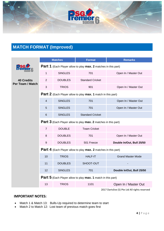

### **MATCH FORMAT (Improved)**

|                                       |                                                                              | <b>Matches</b> | <b>Format</b>           | <b>Remarks</b>            |
|---------------------------------------|------------------------------------------------------------------------------|----------------|-------------------------|---------------------------|
|                                       | <b>Part 1</b> (Each Player allow to play <b>max. 2</b> matches in this part) |                |                         |                           |
|                                       | $\mathbf{1}$                                                                 | <b>SINGLES</b> | 701                     | Open In / Master Out      |
| <b>40 Credits</b><br>Per Team / Match | $\overline{2}$                                                               | <b>DOUBLES</b> | <b>Standard Cricket</b> |                           |
|                                       | 3                                                                            | <b>TRIOS</b>   | 901                     | Open In / Master Out      |
|                                       | Part 2 (Each Player allow to play max. 1 match in this part)                 |                |                         |                           |
|                                       | $\overline{4}$                                                               | <b>SINGLES</b> | 701                     | Open In / Master Out      |
|                                       | 5                                                                            | <b>SINGLES</b> | 701                     | Open In / Master Out      |
|                                       | $6\phantom{1}6$                                                              | <b>SINGLES</b> | <b>Standard Cricket</b> |                           |
|                                       | <b>Part 3</b> (Each Player allow to play <b>max. 2</b> matches in this part) |                |                         |                           |
|                                       | $\overline{7}$                                                               | <b>DOUBLE</b>  | <b>Team Cricket</b>     |                           |
|                                       | 8                                                                            | <b>DOUBLES</b> | 701                     | Open In / Master Out      |
|                                       | $\boldsymbol{9}$                                                             | <b>DOUBLES</b> | 501 Freeze              | Double In/Out, Bull 25/50 |
|                                       | Part 4 (Each Player allow to play max. 2 matches in this part)               |                |                         |                           |
|                                       | 10                                                                           | <b>TRIOS</b>   | <b>HALF-IT</b>          | <b>Grand Master Mode</b>  |
|                                       | 11                                                                           | <b>DOUBLES</b> | SHOOT-OUT               |                           |
|                                       | 12                                                                           | <b>SINGLES</b> | 701                     | Double In/Out, Bull 25/50 |
|                                       | <b>Part 5</b> (Each Player allow to play <b>max. 1</b> match in this part)   |                |                         |                           |
|                                       | 13                                                                           | <b>TRIOS</b>   | 1101                    | Open In / Master Out      |

2017 Dartslive (S) Pte Ltd All rights reserved

### **IMPORTANT NOTES:**

- Match 1 & Match 13: Bulls-Up required to determine team to start
- Match 2 to Match 12: Lost team of previous match goes first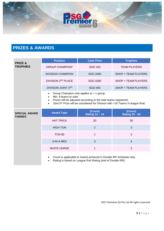

# **PRIZES & AWARDS**

| <b>PRIZE &amp;</b><br><b>TROPHIES</b> | <b>Position</b>                                                                                                                                                                                                                                                               | <b>Cash Prize</b>                                                                                                             | <b>Trophies</b>                  |
|---------------------------------------|-------------------------------------------------------------------------------------------------------------------------------------------------------------------------------------------------------------------------------------------------------------------------------|-------------------------------------------------------------------------------------------------------------------------------|----------------------------------|
|                                       | <b>GROUP CHAMPION*</b>                                                                                                                                                                                                                                                        | <b>SGD 150</b>                                                                                                                | <b>TEAM PLAYERS</b>              |
|                                       | <b>DIVISION CHAMPION</b>                                                                                                                                                                                                                                                      | <b>SGD 2000</b>                                                                                                               | SHOP + TEAM PLAYERS              |
|                                       | DIVISION 2ND PLACE                                                                                                                                                                                                                                                            | <b>SGD 1000</b>                                                                                                               | SHOP + TEAM PLAYERS              |
|                                       | DIVISION JOINT 3RD                                                                                                                                                                                                                                                            | <b>SGD 500</b>                                                                                                                | SHOP + TEAM PLAYERS              |
|                                       | Group Champion only applies to > 1 group;<br>$\bullet$<br>Min. 8 teams to start;<br>$\bullet$<br>Prizes will be adjusted according to the total teams registered;<br>Joint 5 <sup>th</sup> Prize will be considered for Division with >16 Teams in league final;<br>$\bullet$ |                                                                                                                               |                                  |
| <b>SPECIAL AWARD</b><br><b>THEMES</b> | <b>Award Type</b>                                                                                                                                                                                                                                                             | (Count)<br><b>Rating 12-14</b>                                                                                                | (Count)<br><b>Rating 15 - 18</b> |
|                                       | <b>HAT-TRICK</b>                                                                                                                                                                                                                                                              | 20                                                                                                                            | 30                               |
|                                       | <b>HIGH TON</b>                                                                                                                                                                                                                                                               | 2                                                                                                                             | 3                                |
|                                       | <b>TON 80</b>                                                                                                                                                                                                                                                                 | 1                                                                                                                             | $\overline{2}$                   |
|                                       | 3-IN-A-BED                                                                                                                                                                                                                                                                    | 3                                                                                                                             | $\overline{4}$                   |
|                                       | <b>WHITE HORSE</b>                                                                                                                                                                                                                                                            | 1                                                                                                                             | 3                                |
|                                       | $\bullet$                                                                                                                                                                                                                                                                     | Count is applicable to Award achieved in Double RR Schedule only;<br>Rating is based on League End Rating (end of Double RR); |                                  |

2017 Dartslive (S) Pte Ltd All rights reserved